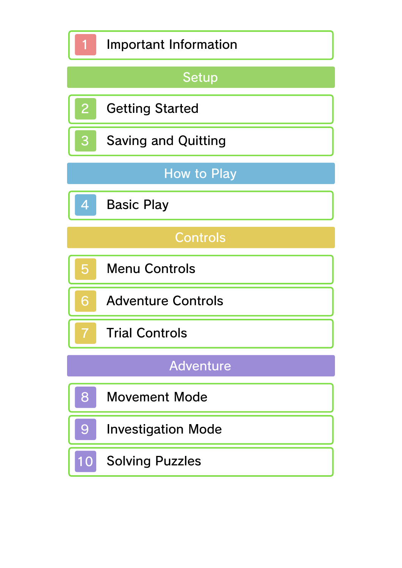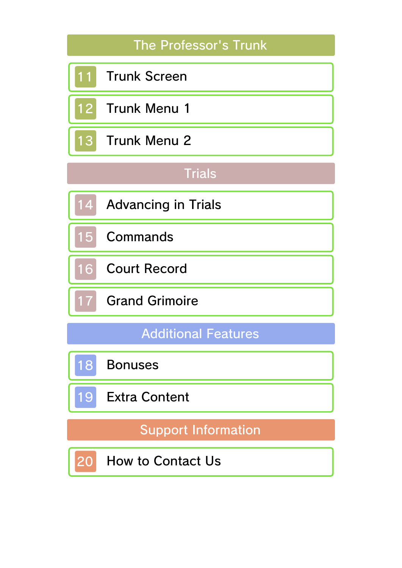# The Professor's Trunk

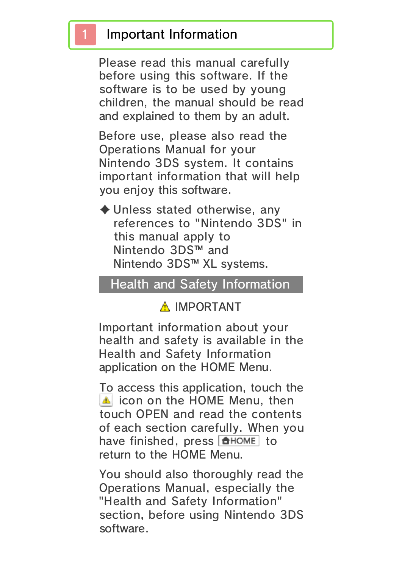#### 1 Important Information

Please read this manual carefully before using this software. If the software is to be used by young children, the manual should be read and explained to them by an adult.

Before use, please also read the Operations Manual for your Nintendo 3DS system. It contains important information that will help you enjoy this software.

 $\blacklozenge$  Unless stated otherwise, any references to "Nintendo 3DS" in this manual apply to Nintendo 3DS™ and Nintendo 3DS™ XL systems.

#### Health and Safety Information

#### A IMPORTANT

Important information about your health and safety is available in the Health and Safety Information application on the HOME Menu.

To access this application, touch the **in** icon on the HOME Menu, then touch OPEN and read the contents of each section carefully. When you have finished, press  $\theta$  hence to return to the HOME Menu.

You should also thoroughly read the Operations Manual, especially the "Health and Safety Information" section, before using Nintendo 3DS software.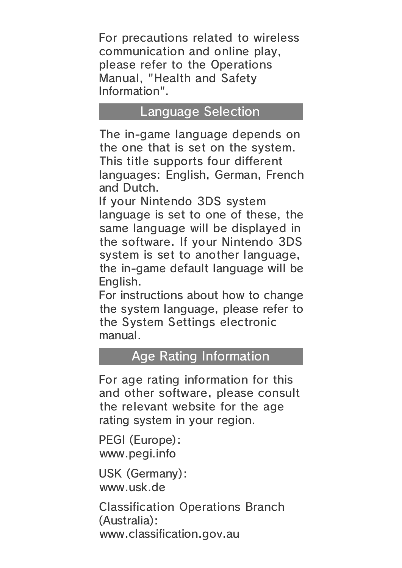For precautions related to wireless communication and online play, please refer to the Operations Manual, "Health and Safety Information".

#### Language Selection

The in-game language depends on the one that is set on the system. This title supports four different languages: English, German, French and Dutch.

If your Nintendo 3DS system language is set to one of these, the same language will be displayed in the software. If your Nintendo 3DS system is set to another language, the in-game default language will be English.

For instructions about how to change the system language, please refer to the System Settings electronic manual.

#### Age Rating Information

For age rating information for this and other software, please consult the relevant website for the age rating system in your region.

www.pegi.info PEGI (Europe):

USK (Germany): www.usk.de

Classification Operations Branch (Australia): www.classification.gov.au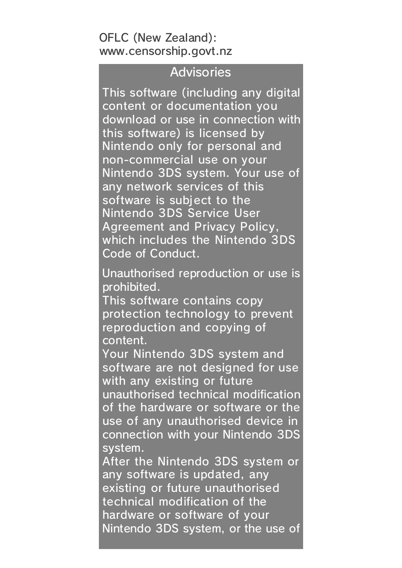#### OFLC (New Zealand): www.censorship.govt.nz

#### Advisories

This software (including any digital content or documentation you download or use in connection with this software) is licensed by Nintendo only for personal and non-commercial use on your Nintendo 3DS system. Your use of any network services of this software is subject to the Nintendo 3DS Service User Agreement and Privacy Policy, which includes the Nintendo 3DS Code of Conduct.

Unauthorised reproduction or use is prohibited.

This software contains copy protection technology to prevent reproduction and copying of content.

Your Nintendo 3DS system and software are not designed for use with any existing or future

unauthorised technical modification of the hardware or software or the use of any unauthorised device in connection with your Nintendo 3DS system.

After the Nintendo 3DS system or any software is updated, any existing or future unauthorised technical modification of the hardware or software of your Nintendo 3DS system, or the use of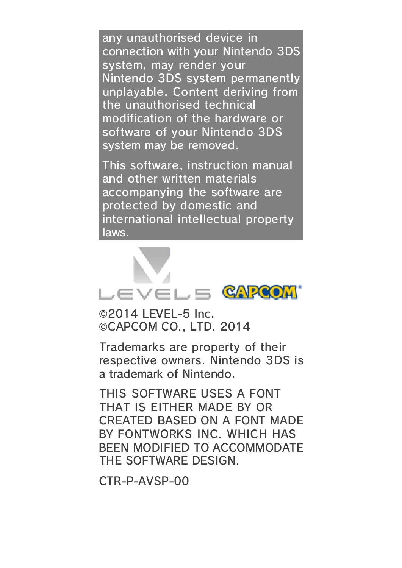any unauthorised device in connection with your Nintendo 3DS system, may render your Nintendo 3DS system permanently unplayable. Content deriving from the unauthorised technical modification of the hardware or software of your Nintendo 3DS system may be removed.

This software, instruction manual and other written materials accompanying the software are protected by domestic and international intellectual property laws.



©2014 LEVEL-5 Inc. ©CAPCOM CO., LTD. 2014

Trademarks are property of their respective owners. Nintendo 3DS is a trademark of Nintendo.

THIS SOFTWARE USES A FONT THAT IS EITHER MADE BY OR CREATED BASED ON A FONT MADE BY FONTWORKS INC. WHICH HAS BEEN MODIFIED TO ACCOMMODATE THE SOFTWARE DESIGN.

CTR-P-AVSP-00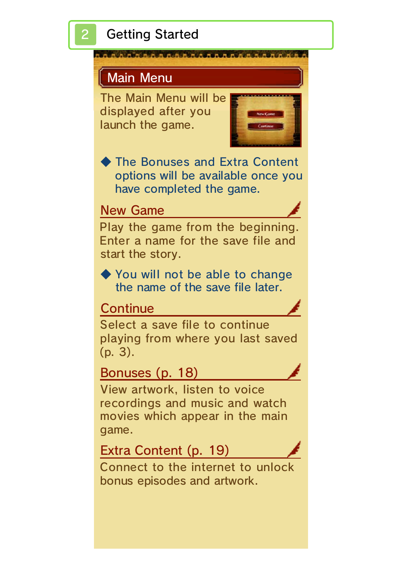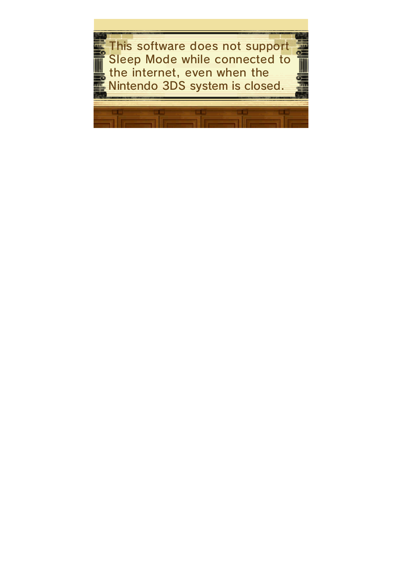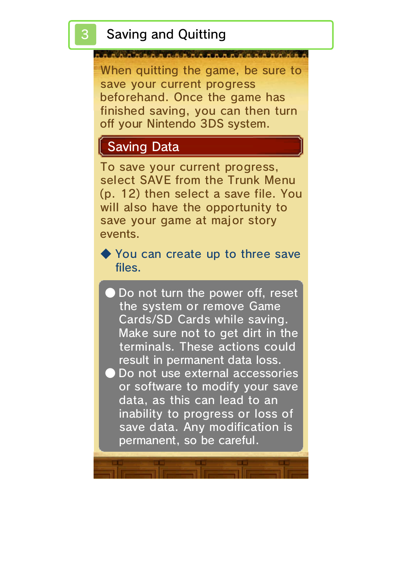When quitting the game, be sure to save your current progress beforehand. Once the game has finished saving, you can then turn off your Nintendo 3DS system.

## Saving Data

To save your current progress, select SAVE from the Trunk Menu (p. 12) then select a save file. You will also have the opportunity to save your game at major story events.

◆ You can create up to three save files.

- Do not turn the power off, reset the system or remove Game Cards/SD Cards while saving. Make sure not to get dirt in the terminals. These actions could result in permanent data loss.
- Do not use external accessories or software to modify your save data, as this can lead to an inability to progress or loss of save data. Any modification is permanent, so be careful.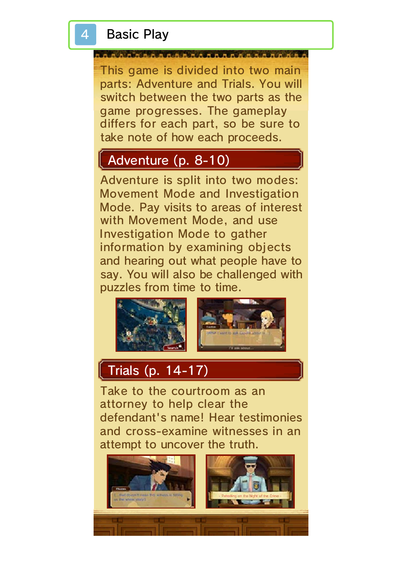#### **Basic Play**

This game is divided into two main parts: Adventure and Trials. You will switch between the two parts as the game progresses. The gameplay differs for each part, so be sure to take note of how each proceeds.

#### Adventure (p. 8-10)

Adventure is split into two modes: Movement Mode and Investigation Mode. Pay visits to areas of interest with Movement Mode, and use Investigation Mode to gather information by examining objects and hearing out what people have to say. You will also be challenged with puzzles from time to time.



#### Trials (p. 14-17)

Take to the courtroom as an attorney to help clear the defendant's name! Hear testimonies and cross-examine witnesses in an attempt to uncover the truth.

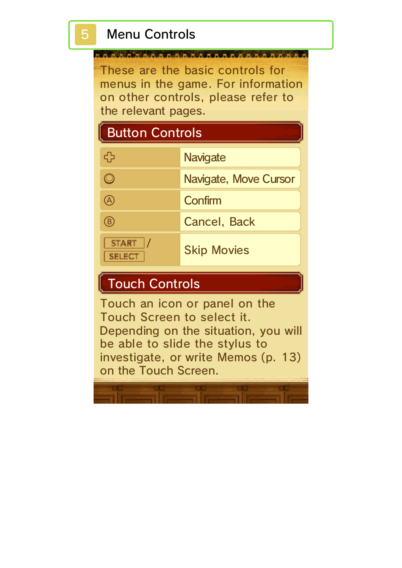These are the basic controls for menus in the game. For information on other controls, please refer to the relevant pages.

# Button Controls

| ל ב                           | <b>Navigate</b>       |
|-------------------------------|-----------------------|
|                               | Navigate, Move Cursor |
|                               | Confirm               |
| B)                            | <b>Cancel, Back</b>   |
| <b>START</b><br><b>SELECT</b> | <b>Skip Movies</b>    |

# Touch Controls

Touch an icon or panel on the Touch Screen to select it. Depending on the situation, you will be able to slide the stylus to investigate, or write Memos (p. 13) on the Touch Screen.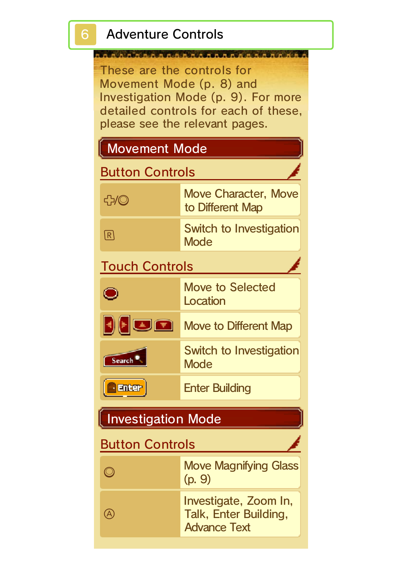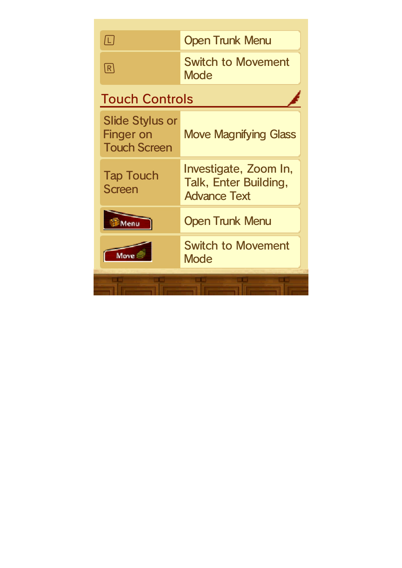| 囗                                                                 | <b>Open Trunk Menu</b>                                                |
|-------------------------------------------------------------------|-----------------------------------------------------------------------|
| $\lceil \mathsf{R} \rceil$                                        | <b>Switch to Movement</b><br>Mode                                     |
| <b>Touch Controls</b>                                             |                                                                       |
| <b>Slide Stylus or</b><br><b>Finger on</b><br><b>Touch Screen</b> | <b>Move Magnifying Glass</b>                                          |
| <b>Tap Touch</b><br><b>Screen</b>                                 | Investigate, Zoom In,<br>Talk, Enter Building,<br><b>Advance Text</b> |
|                                                                   | <b>Open Trunk Menu</b>                                                |
|                                                                   | <b>Switch to Movement</b><br>Mode                                     |
|                                                                   |                                                                       |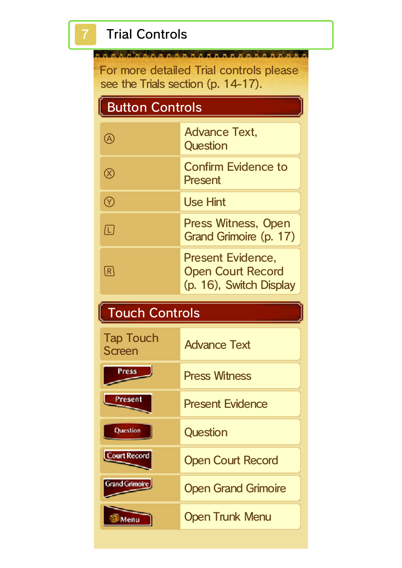# **Trial Controls**

SARAARAAAAAAAAAAAAAAAAAAAA For more detailed Trial controls please see the Trials section (p. 14-17).

# Button Controls

|    | <b>Advance Text,</b><br>Question                                                |
|----|---------------------------------------------------------------------------------|
|    | <b>Confirm Evidence to</b><br>Present                                           |
|    | <b>Use Hint</b>                                                                 |
| L. | Press Witness, Open<br>Grand Grimoire (p. 17)                                   |
|    | <b>Present Evidence,</b><br><b>Open Court Record</b><br>(p. 16), Switch Display |

# Touch Controls

| <b>Tap Touch</b><br><b>Screen</b> | <b>Advance Text</b>        |
|-----------------------------------|----------------------------|
| Press                             | <b>Press Witness</b>       |
| Present                           | <b>Present Evidence</b>    |
| Question                          | Question                   |
| <b>Court Record</b>               | <b>Open Court Record</b>   |
| <b>Grand Grimoire</b>             | <b>Open Grand Grimoire</b> |
|                                   | <b>Open Trunk Menu</b>     |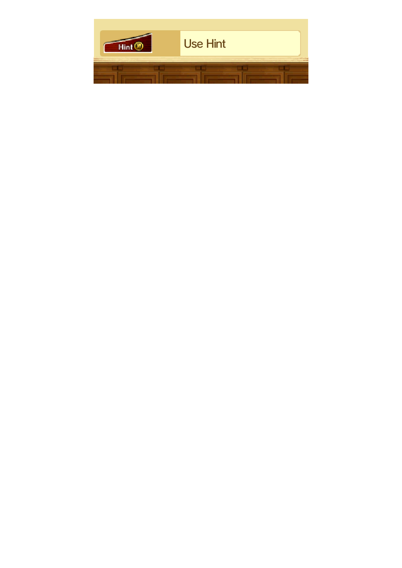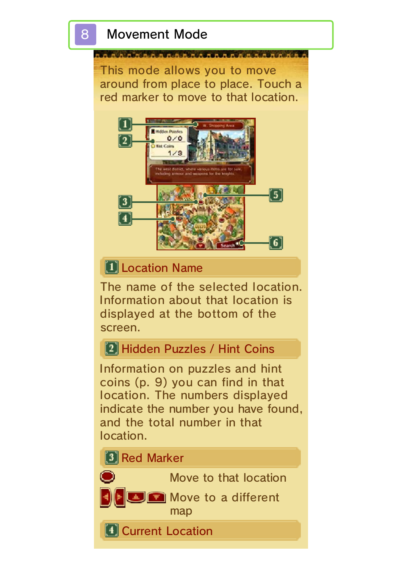This mode allows you to move around from place to place. Touch a red marker to move to that location.



## **T** Location Name

The name of the selected location. Information about that location is displayed at the bottom of the screen.

## [2] Hidden Puzzles / Hint Coins

Information on puzzles and hint coins (p. 9) you can find in that location. The numbers displayed indicate the number you have found, and the total number in that location.

#### **3** Red Marker

 $\bullet$ 

Move to that location

**Move to a different** 

map

**Current Location**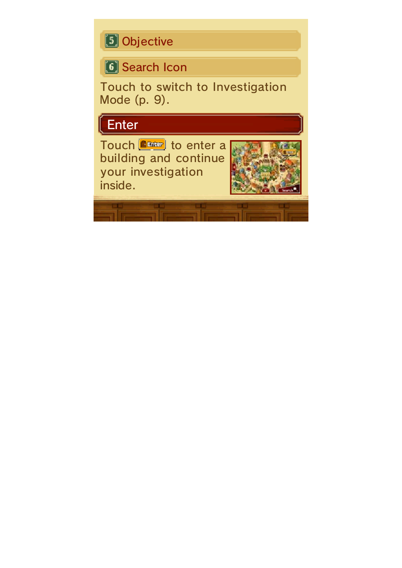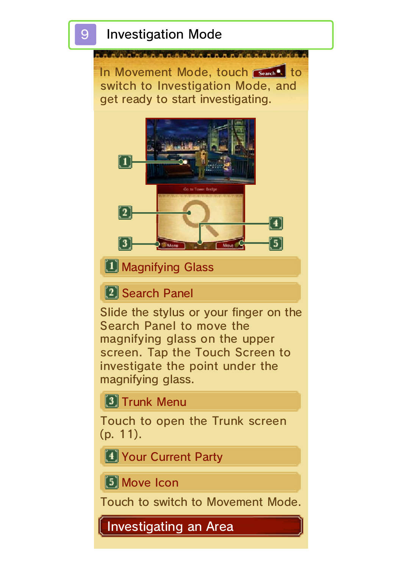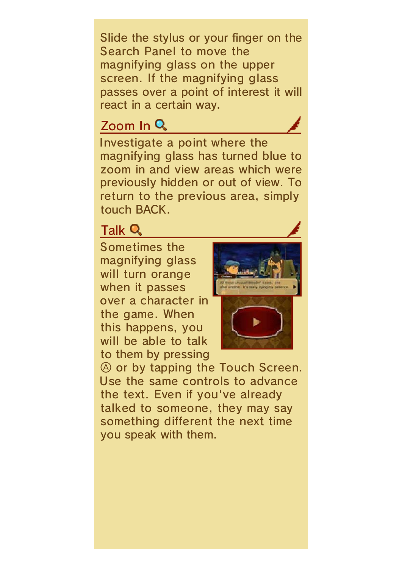Slide the stylus or your finger on the Search Panel to move the magnifying glass on the upper screen. If the magnifying glass passes over a point of interest it will react in a certain way.

#### Zoom In Q

Investigate a point where the magnifying glass has turned blue to zoom in and view areas which were previously hidden or out of view. To return to the previous area, simply touch BACK.

#### Talk Q

Sometimes the magnifying glass will turn orange when it passes over a character in the game. When this happens, you will be able to talk to them by pressing





 $\circledA$  or by tapping the Touch Screen. Use the same controls to advance the text. Even if you've already talked to someone, they may say something different the next time you speak with them.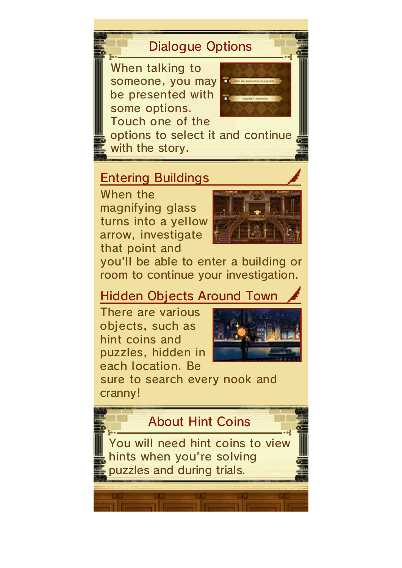### Dialogue Options

When talking to someone, you may be presented with some options. Touch one of the



options to select it and continue with the story.

#### Entering Buildings

When the magnifying glass turns into a yellow arrow, investigate that point and



you'll be able to enter a building or room to continue your investigation.

## Hidden Objects Around Town

There are various objects, such as hint coins and puzzles, hidden in each location. Be



sure to search every nook and cranny!

## About Hint Coins

You will need hint coins to view hints when you're solving puzzles and during trials.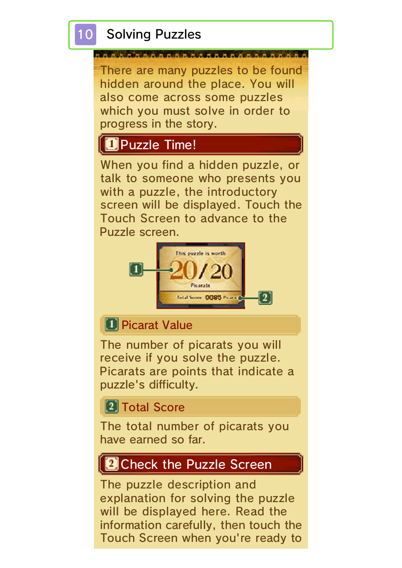# **D**Puzzle Time!

progress in the story.

When you find a hidden puzzle, or talk to someone who presents you with a puzzle, the introductory screen will be displayed. Touch the Touch Screen to advance to the Puzzle screen.



#### **D** Picarat Value

The number of picarats you will receive if you solve the puzzle. Picarats are points that indicate a puzzle's difficulty.

**2** Total Score

The total number of picarats you have earned so far.

#### **PCheck the Puzzle Screen**

The puzzle description and explanation for solving the puzzle will be displayed here. Read the information carefully, then touch the Touch Screen when you're ready to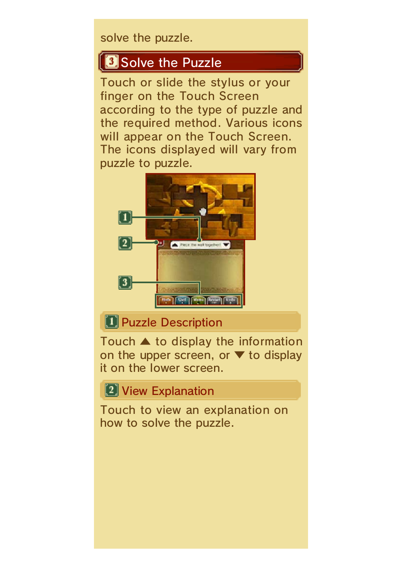solve the puzzle.

### Solve the Puzzle

Touch or slide the stylus or your finger on the Touch Screen according to the type of puzzle and the required method. Various icons will appear on the Touch Screen. The icons displayed will vary from puzzle to puzzle.



#### **T** Puzzle Description

Touch ▲ to display the information on the upper screen, or  $\blacktriangledown$  to display it on the lower screen.

**2** View Explanation

Touch to view an explanation on how to solve the puzzle.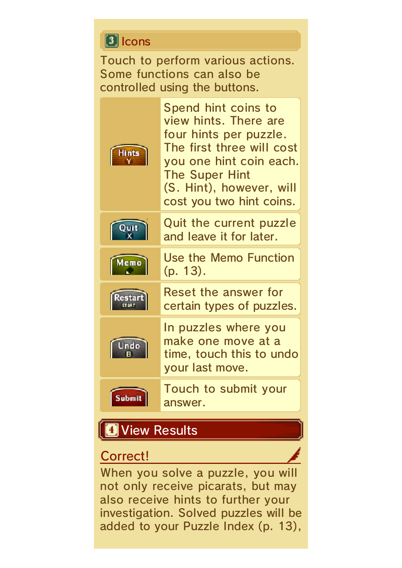#### **1** Icons

Touch to perform various actions. Some functions can also be controlled using the buttons.



Spend hint coins to view hints. There are four hints per puzzle. The first three will cost you one hint coin each. The Super Hint (S. Hint), however, will cost you two hint coins.



Memo

Quit the current puzzle and leave it for later.

Use the Memo Function (p. 13).





**Submit** 

Reset the answer for certain types of puzzles. In puzzles where you

make one move at a time, touch this to undo your last move.

Touch to submit your answer.

#### **D** View Results

#### Correct!

When you solve a puzzle, you will not only receive picarats, but may also receive hints to further your investigation. Solved puzzles will be added to your Puzzle Index (p. 13),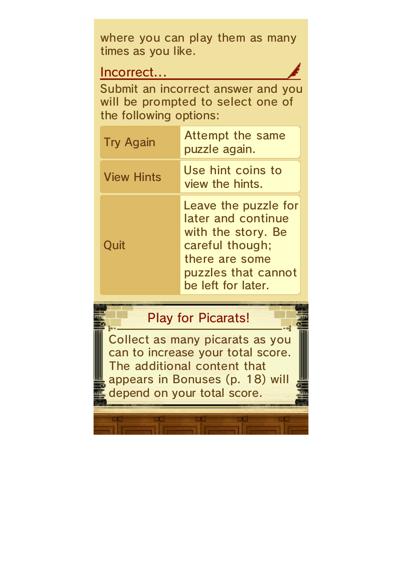where you can play them as many times as you like.

#### Incorrect...

Submit an incorrect answer and you will be prompted to select one of the following options:

| <b>Try Again</b>  | Attempt the same<br>puzzle again.                                                                                                                  |
|-------------------|----------------------------------------------------------------------------------------------------------------------------------------------------|
| <b>View Hints</b> | Use hint coins to<br>view the hints.                                                                                                               |
| Quit              | Leave the puzzle for<br>later and continue<br>with the story. Be<br>careful though;<br>there are some<br>puzzles that cannot<br>be left for later. |

## Play for Picarats!

Collect as many picarats as you can to increase your total score. The additional content that appears in Bonuses (p. 18) will depend on your total score.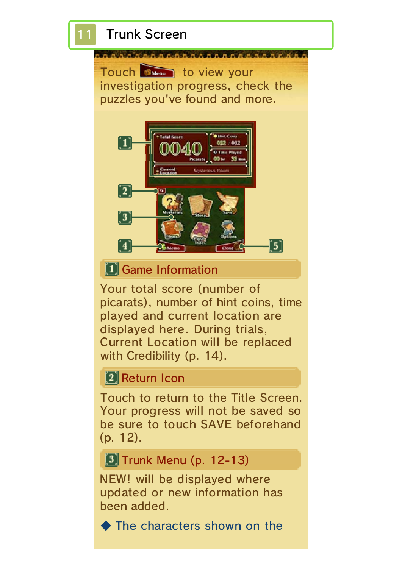

NEW! will be displayed where updated or new information has been added.

◆ The characters shown on the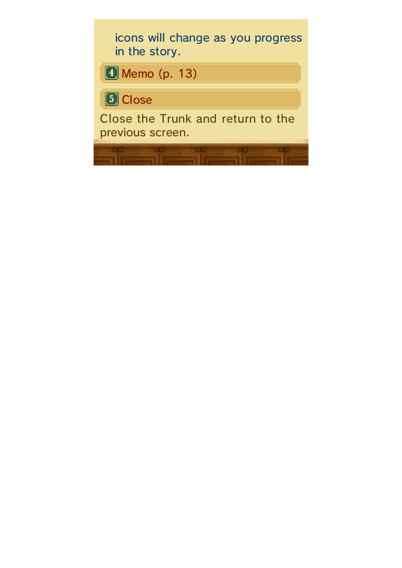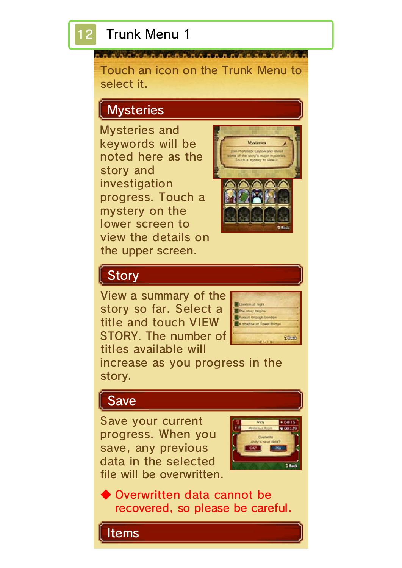#### 12 Trunk Menu 1

Touch an icon on the Trunk Menu to select it.

# **Mysteries**

Mysteries and keywords will be noted here as the story and investigation progress. Touch a mystery on the lower screen to view the details on the upper screen.



### **Story**

View a summary of the story so far. Select a title and touch VIEW STORY. The number of titles available will



increase as you progress in the story.

## Save

Save your current progress. When you save, any previous data in the selected file will be overwritten.



◆ Overwritten data cannot be recovered, so please be careful.

Items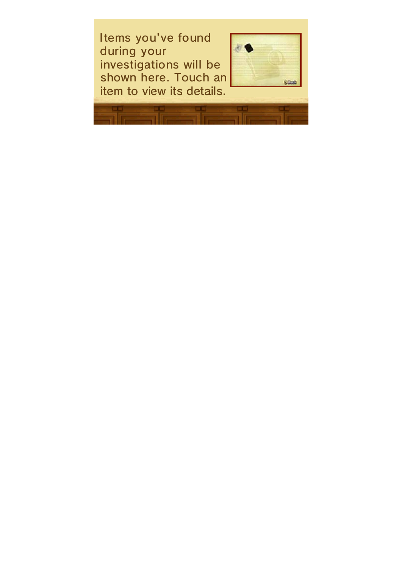Items you've found during your investigations will be shown here. Touch an item to view its details.

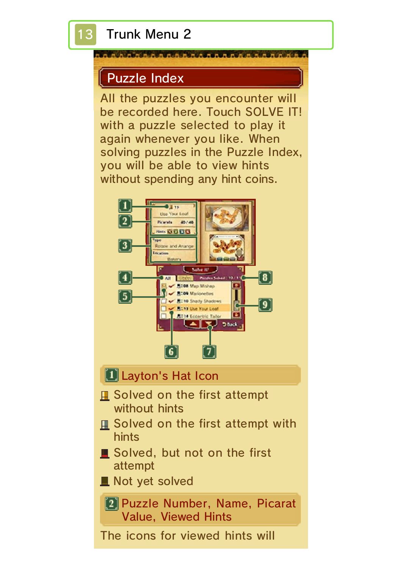#### **BRANCAMAR**

#### Puzzle Index

All the puzzles you encounter will be recorded here. Touch SOLVE IT! with a puzzle selected to play it again whenever you like. When solving puzzles in the Puzzle Index, you will be able to view hints without spending any hint coins.



#### **Layton's Hat Icon**

- Solved on the first attempt without hints
- Solved on the first attempt with hints
- Solved, but not on the first attempt
- Not yet solved

[2] Puzzle Number, Name, Picarat Value, Viewed Hints

The icons for viewed hints will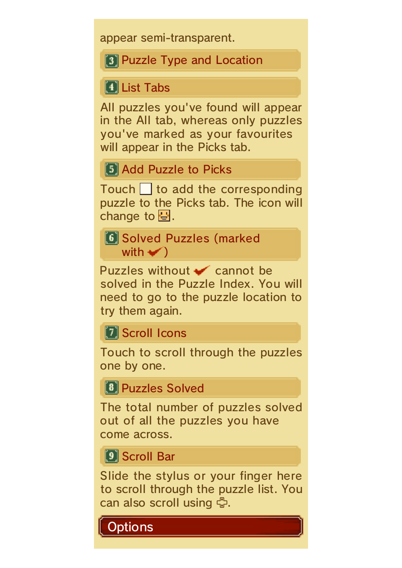appear semi-transparent.

**3** Puzzle Type and Location

**1** List Tabs

All puzzles you've found will appear in the All tab, whereas only puzzles you've marked as your favourites will appear in the Picks tab.

**5** Add Puzzle to Picks

Touch to add the corresponding puzzle to the Picks tab. The icon will change to  $\mathbf{B}$ .

[6] Solved Puzzles (marked with  $\blacktriangleright$ 

Puzzles without  $\bullet$  cannot be solved in the Puzzle Index. You will need to go to the puzzle location to try them again.

**7** Scroll Icons

Touch to scroll through the puzzles one by one.

**8 Puzzles Solved** 

The total number of puzzles solved out of all the puzzles you have come across.

**9** Scroll Bar

Slide the stylus or your finger here to scroll through the puzzle list. You can also scroll using \$.

**Options**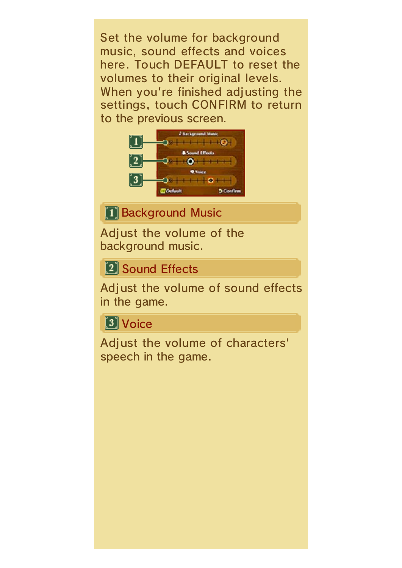Set the volume for background music, sound effects and voices here. Touch DEFAULT to reset the volumes to their original levels. When you're finished adjusting the settings, touch CONFIRM to return to the previous screen.



**1 Background Music** 

Adjust the volume of the background music.

**[2] Sound Effects** 

Adjust the volume of sound effects in the game.

**3** Voice

Adjust the volume of characters' speech in the game.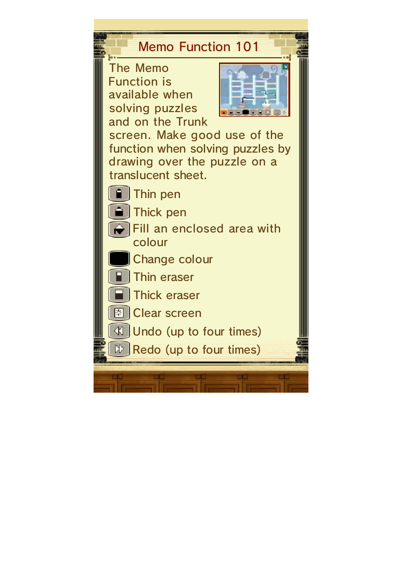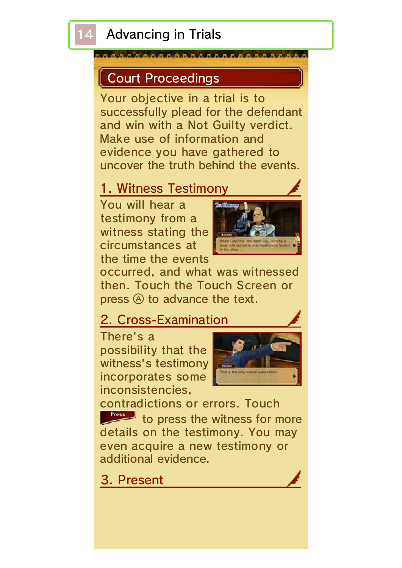## Advancing in Trials

#### Court Proceedings

Your objective in a trial is to successfully plead for the defendant and win with a Not Guilty verdict. Make use of information and evidence you have gathered to uncover the truth behind the events.

#### 1. Witness Testimony

You will hear a testimony from a witness stating the circumstances at the time the events



occurred, and what was witnessed then. Touch the Touch Screen or press  $\circledA$  to advance the text.

#### 2. Cross-Examination

There's a possibility that the witness's testimony incorporates some inconsistencies,



contradictions or errors. Touch to press the witness for more details on the testimony. You may even acquire a new testimony or additional evidence.

3. Present

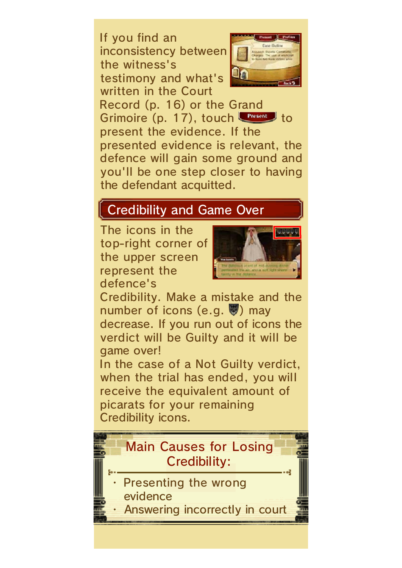If you find an inconsistency between the witness's testimony and what's written in the Court



Record (p. 16) or the Grand Grimoire  $(p. 17)$ , touch  $r_{\text{most}}$  to present the evidence. If the presented evidence is relevant, the defence will gain some ground and you'll be one step closer to having the defendant acquitted.

# Credibility and Game Over

The icons in the top-right corner of the upper screen represent the defence's



Credibility. Make a mistake and the number of icons (e.g.  $\vee$ ) may decrease. If you run out of icons the verdict will be Guilty and it will be game over!

In the case of a Not Guilty verdict, when the trial has ended, you will receive the equivalent amount of picarats for your remaining Credibility icons.

# Main Causes for Losing Credibility:

- Presenting the wrong evidence
- Answering incorrectly in court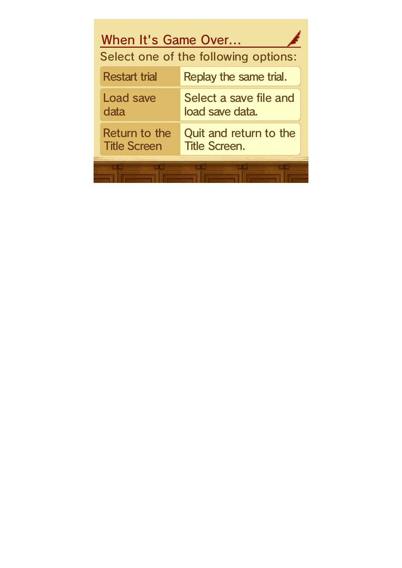| When It's Game Over<br>Select one of the following options: |                                                |
|-------------------------------------------------------------|------------------------------------------------|
| <b>Restart trial</b>                                        | Replay the same trial.                         |
| Load save<br>data                                           | Select a save file and<br>load save data.      |
| Return to the<br><b>Title Screen</b>                        | Quit and return to the<br><b>Title Screen.</b> |
|                                                             |                                                |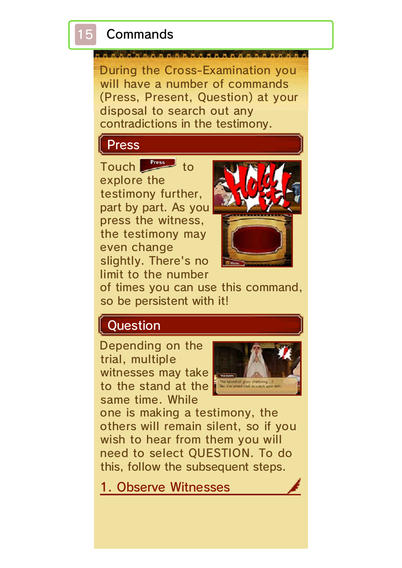## **Commands**

During the Cross-Examination you will have a number of commands (Press, Present, Question) at your disposal to search out any contradictions in the testimony.

# Press

Touch  $\int_{0}^{x}$  to explore the testimony further, part by part. As you press the witness, the testimony may even change slightly. There's no limit to the number



of times you can use this command, so be persistent with it!

# **Question**

Depending on the trial, multiple witnesses may take to the stand at the same time. While



one is making a testimony, the others will remain silent, so if you wish to hear from them you will need to select QUESTION. To do this, follow the subsequent steps.

1. Observe Witnesses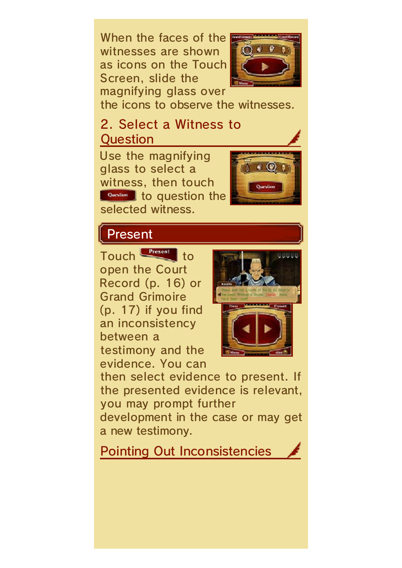When the faces of the witnesses are shown as icons on the Touch Screen, slide the magnifying glass over



the icons to observe the witnesses.

#### 2. Select a Witness to Question

Use the magnifying glass to select a witness, then touch **Question** to question the selected witness.



## Present

Touch **Fresent** to open the Court Record (p. 16) or Grand Grimoire (p. 17) if you find an inconsistency between a testimony and the evidence. You can



then select evidence to present. If the presented evidence is relevant, you may prompt further

development in the case or may get a new testimony.

Pointing Out Inconsistencies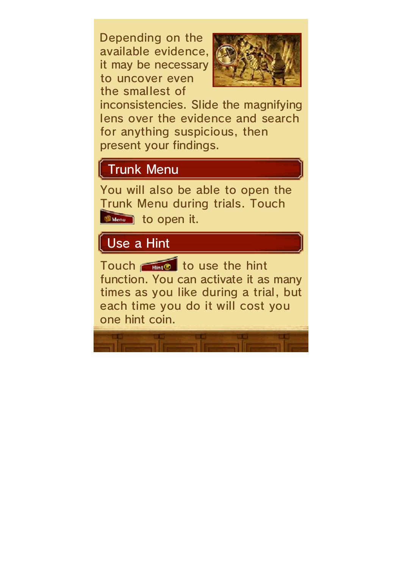Depending on the available evidence, it may be necessary to uncover even the smallest of



inconsistencies. Slide the magnifying lens over the evidence and search for anything suspicious, then present your findings.

# Trunk Menu

You will also be able to open the Trunk Menu during trials. Touch **the state of the copen it.** 

## Use a Hint

Touch  $\begin{array}{|c|c|c|c|}\n\hline\n\text{Hence} & \text{to use the hint}\n\end{array}$ function. You can activate it as many times as you like during a trial, but each time you do it will cost you one hint coin.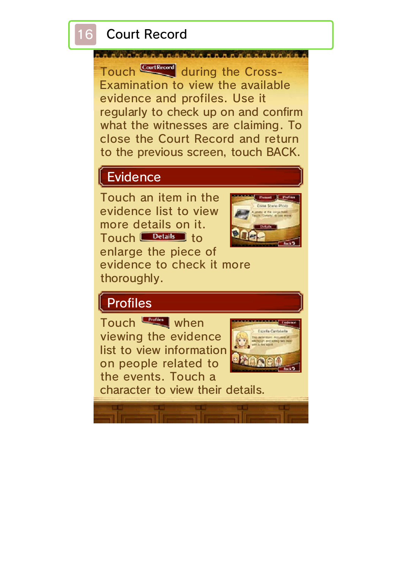Touch Continued during the Cross-Examination to view the available evidence and profiles. Use it regularly to check up on and confirm what the witnesses are claiming. To close the Court Record and return to the previous screen, touch BACK.

# Evidence

Touch an item in the evidence list to view more details on it. Touch **Details** to enlarge the piece of evidence to check it more thoroughly.



# Profiles

Touch when viewing the evidence list to view information on people related to the events. Touch a



character to view their details.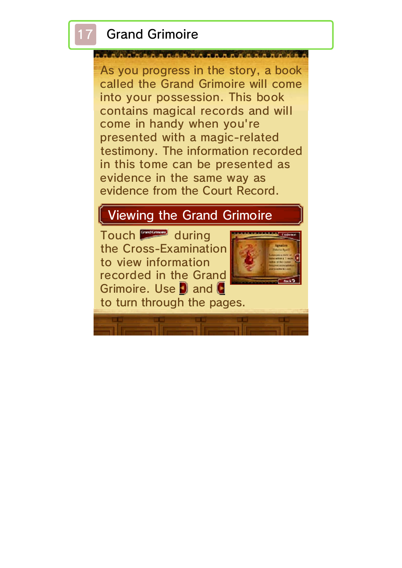# **Grand Grimoire**

As you progress in the story, a book called the Grand Grimoire will come into your possession. This book contains magical records and will come in handy when you're presented with a magic-related testimony. The information recorded in this tome can be presented as evidence in the same way as evidence from the Court Record.

#### Viewing the Grand Grimoire

Touch during the Cross-Examination to view information recorded in the Grand Grimoire. Use **D** and **C** 



to turn through the pages.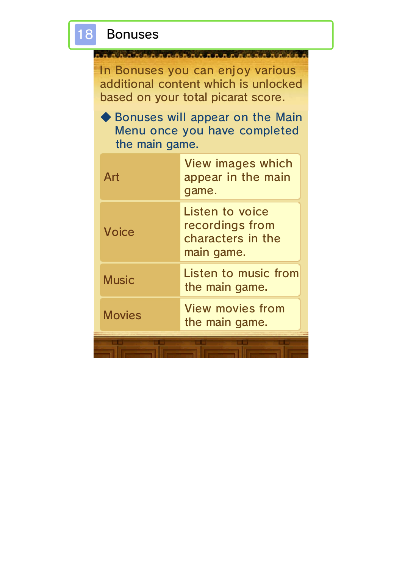

In Bonuses you can enjoy various additional content which is unlocked based on your total picarat score.

**ANAAAAAAAAAAAAA** 

◆ Bonuses will appear on the Main Menu once you have completed the main game.

| Art           | <b>View images which</b><br>appear in the main<br>qame.               |
|---------------|-----------------------------------------------------------------------|
| <b>Voice</b>  | Listen to voice<br>recordings from<br>characters in the<br>main game. |
| <b>Music</b>  | Listen to music from<br>the main game.                                |
| <b>Movies</b> | <b>View movies from</b><br>the main game.                             |
|               |                                                                       |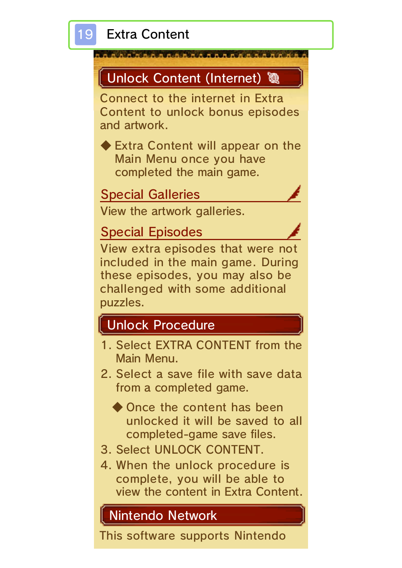





4. When the unlock procedure is complete, you will be able to view the content in Extra Content.

## Nintendo Network

This software supports Nintendo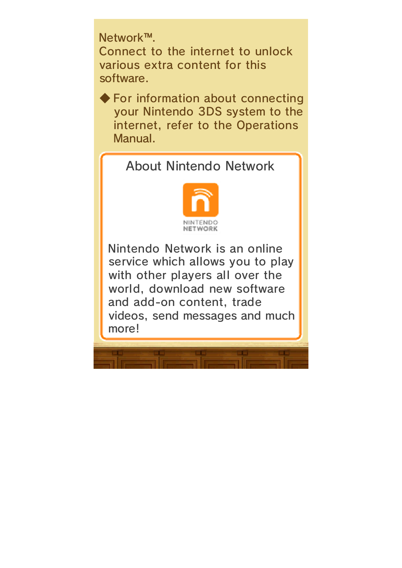Network™. Connect to the internet to unlock various extra content for this software.

◆ For information about connecting your Nintendo 3DS system to the internet, refer to the Operations Manual.

#### About Nintendo Network



Nintendo Network is an online service which allows you to play with other players all over the world, download new software and add-on content, trade videos, send messages and much more!